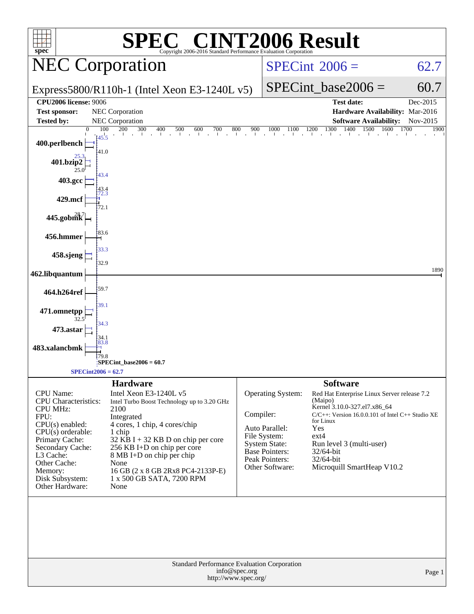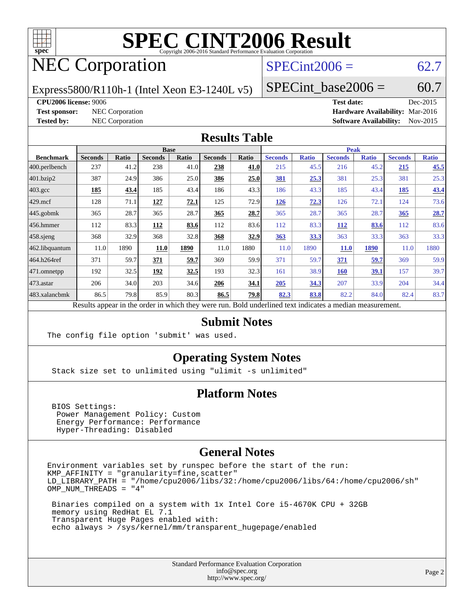

# NEC Corporation

### $SPECint2006 = 62.7$  $SPECint2006 = 62.7$

Express5800/R110h-1 (Intel Xeon E3-1240L v5)

SPECint base2006 =  $60.7$ 

**[CPU2006 license:](http://www.spec.org/auto/cpu2006/Docs/result-fields.html#CPU2006license)** 9006 **[Test date:](http://www.spec.org/auto/cpu2006/Docs/result-fields.html#Testdate)** Dec-2015

**[Test sponsor:](http://www.spec.org/auto/cpu2006/Docs/result-fields.html#Testsponsor)** NEC Corporation **[Hardware Availability:](http://www.spec.org/auto/cpu2006/Docs/result-fields.html#HardwareAvailability)** Mar-2016 **[Tested by:](http://www.spec.org/auto/cpu2006/Docs/result-fields.html#Testedby)** NEC Corporation **[Software Availability:](http://www.spec.org/auto/cpu2006/Docs/result-fields.html#SoftwareAvailability)** Nov-2015

#### **[Results Table](http://www.spec.org/auto/cpu2006/Docs/result-fields.html#ResultsTable)**

| <b>Ratio</b> |
|--------------|
| 45.5<br>43.4 |
| 25.3<br>73.6 |
|              |
|              |
|              |
| 28.7         |
| 83.6         |
| 33.3         |
| 1880         |
| 59.9         |
| 39.7         |
| 34.4         |
| 83.7         |
|              |

Results appear in the [order in which they were run.](http://www.spec.org/auto/cpu2006/Docs/result-fields.html#RunOrder) Bold underlined text [indicates a median measurement.](http://www.spec.org/auto/cpu2006/Docs/result-fields.html#Median)

#### **[Submit Notes](http://www.spec.org/auto/cpu2006/Docs/result-fields.html#SubmitNotes)**

The config file option 'submit' was used.

#### **[Operating System Notes](http://www.spec.org/auto/cpu2006/Docs/result-fields.html#OperatingSystemNotes)**

Stack size set to unlimited using "ulimit -s unlimited"

#### **[Platform Notes](http://www.spec.org/auto/cpu2006/Docs/result-fields.html#PlatformNotes)**

 BIOS Settings: Power Management Policy: Custom Energy Performance: Performance Hyper-Threading: Disabled

#### **[General Notes](http://www.spec.org/auto/cpu2006/Docs/result-fields.html#GeneralNotes)**

Environment variables set by runspec before the start of the run: KMP\_AFFINITY = "granularity=fine,scatter" LD\_LIBRARY\_PATH = "/home/cpu2006/libs/32:/home/cpu2006/libs/64:/home/cpu2006/sh" OMP\_NUM\_THREADS = "4"

 Binaries compiled on a system with 1x Intel Core i5-4670K CPU + 32GB memory using RedHat EL 7.1 Transparent Huge Pages enabled with: echo always > /sys/kernel/mm/transparent\_hugepage/enabled

> Standard Performance Evaluation Corporation [info@spec.org](mailto:info@spec.org) <http://www.spec.org/>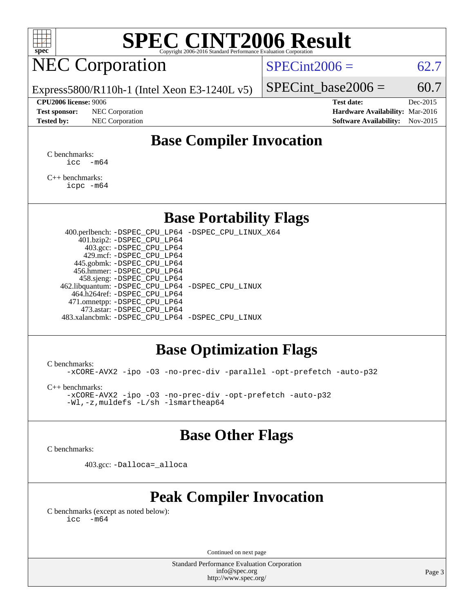

# NEC Corporation

 $SPECint2006 = 62.7$  $SPECint2006 = 62.7$ 

Express5800/R110h-1 (Intel Xeon E3-1240L v5)

**[Test sponsor:](http://www.spec.org/auto/cpu2006/Docs/result-fields.html#Testsponsor)** NEC Corporation **[Hardware Availability:](http://www.spec.org/auto/cpu2006/Docs/result-fields.html#HardwareAvailability)** Mar-2016

SPECint base2006 =  $60.7$ **[CPU2006 license:](http://www.spec.org/auto/cpu2006/Docs/result-fields.html#CPU2006license)** 9006 **[Test date:](http://www.spec.org/auto/cpu2006/Docs/result-fields.html#Testdate)** Dec-2015

# **[Tested by:](http://www.spec.org/auto/cpu2006/Docs/result-fields.html#Testedby)** NEC Corporation **[Software Availability:](http://www.spec.org/auto/cpu2006/Docs/result-fields.html#SoftwareAvailability)** Nov-2015

# **[Base Compiler Invocation](http://www.spec.org/auto/cpu2006/Docs/result-fields.html#BaseCompilerInvocation)**

[C benchmarks](http://www.spec.org/auto/cpu2006/Docs/result-fields.html#Cbenchmarks):  $\text{icc}$   $-\text{m64}$ 

[C++ benchmarks:](http://www.spec.org/auto/cpu2006/Docs/result-fields.html#CXXbenchmarks) [icpc -m64](http://www.spec.org/cpu2006/results/res2016q1/cpu2006-20160125-38807.flags.html#user_CXXbase_intel_icpc_64bit_fc66a5337ce925472a5c54ad6a0de310)

### **[Base Portability Flags](http://www.spec.org/auto/cpu2006/Docs/result-fields.html#BasePortabilityFlags)**

 400.perlbench: [-DSPEC\\_CPU\\_LP64](http://www.spec.org/cpu2006/results/res2016q1/cpu2006-20160125-38807.flags.html#b400.perlbench_basePORTABILITY_DSPEC_CPU_LP64) [-DSPEC\\_CPU\\_LINUX\\_X64](http://www.spec.org/cpu2006/results/res2016q1/cpu2006-20160125-38807.flags.html#b400.perlbench_baseCPORTABILITY_DSPEC_CPU_LINUX_X64) 401.bzip2: [-DSPEC\\_CPU\\_LP64](http://www.spec.org/cpu2006/results/res2016q1/cpu2006-20160125-38807.flags.html#suite_basePORTABILITY401_bzip2_DSPEC_CPU_LP64) 403.gcc: [-DSPEC\\_CPU\\_LP64](http://www.spec.org/cpu2006/results/res2016q1/cpu2006-20160125-38807.flags.html#suite_basePORTABILITY403_gcc_DSPEC_CPU_LP64) 429.mcf: [-DSPEC\\_CPU\\_LP64](http://www.spec.org/cpu2006/results/res2016q1/cpu2006-20160125-38807.flags.html#suite_basePORTABILITY429_mcf_DSPEC_CPU_LP64) 445.gobmk: [-DSPEC\\_CPU\\_LP64](http://www.spec.org/cpu2006/results/res2016q1/cpu2006-20160125-38807.flags.html#suite_basePORTABILITY445_gobmk_DSPEC_CPU_LP64) 456.hmmer: [-DSPEC\\_CPU\\_LP64](http://www.spec.org/cpu2006/results/res2016q1/cpu2006-20160125-38807.flags.html#suite_basePORTABILITY456_hmmer_DSPEC_CPU_LP64) 458.sjeng: [-DSPEC\\_CPU\\_LP64](http://www.spec.org/cpu2006/results/res2016q1/cpu2006-20160125-38807.flags.html#suite_basePORTABILITY458_sjeng_DSPEC_CPU_LP64) 462.libquantum: [-DSPEC\\_CPU\\_LP64](http://www.spec.org/cpu2006/results/res2016q1/cpu2006-20160125-38807.flags.html#suite_basePORTABILITY462_libquantum_DSPEC_CPU_LP64) [-DSPEC\\_CPU\\_LINUX](http://www.spec.org/cpu2006/results/res2016q1/cpu2006-20160125-38807.flags.html#b462.libquantum_baseCPORTABILITY_DSPEC_CPU_LINUX) 464.h264ref: [-DSPEC\\_CPU\\_LP64](http://www.spec.org/cpu2006/results/res2016q1/cpu2006-20160125-38807.flags.html#suite_basePORTABILITY464_h264ref_DSPEC_CPU_LP64) 471.omnetpp: [-DSPEC\\_CPU\\_LP64](http://www.spec.org/cpu2006/results/res2016q1/cpu2006-20160125-38807.flags.html#suite_basePORTABILITY471_omnetpp_DSPEC_CPU_LP64) 473.astar: [-DSPEC\\_CPU\\_LP64](http://www.spec.org/cpu2006/results/res2016q1/cpu2006-20160125-38807.flags.html#suite_basePORTABILITY473_astar_DSPEC_CPU_LP64) 483.xalancbmk: [-DSPEC\\_CPU\\_LP64](http://www.spec.org/cpu2006/results/res2016q1/cpu2006-20160125-38807.flags.html#suite_basePORTABILITY483_xalancbmk_DSPEC_CPU_LP64) [-DSPEC\\_CPU\\_LINUX](http://www.spec.org/cpu2006/results/res2016q1/cpu2006-20160125-38807.flags.html#b483.xalancbmk_baseCXXPORTABILITY_DSPEC_CPU_LINUX)

### **[Base Optimization Flags](http://www.spec.org/auto/cpu2006/Docs/result-fields.html#BaseOptimizationFlags)**

[C benchmarks](http://www.spec.org/auto/cpu2006/Docs/result-fields.html#Cbenchmarks):

[-xCORE-AVX2](http://www.spec.org/cpu2006/results/res2016q1/cpu2006-20160125-38807.flags.html#user_CCbase_f-xAVX2_5f5fc0cbe2c9f62c816d3e45806c70d7) [-ipo](http://www.spec.org/cpu2006/results/res2016q1/cpu2006-20160125-38807.flags.html#user_CCbase_f-ipo) [-O3](http://www.spec.org/cpu2006/results/res2016q1/cpu2006-20160125-38807.flags.html#user_CCbase_f-O3) [-no-prec-div](http://www.spec.org/cpu2006/results/res2016q1/cpu2006-20160125-38807.flags.html#user_CCbase_f-no-prec-div) [-parallel](http://www.spec.org/cpu2006/results/res2016q1/cpu2006-20160125-38807.flags.html#user_CCbase_f-parallel) [-opt-prefetch](http://www.spec.org/cpu2006/results/res2016q1/cpu2006-20160125-38807.flags.html#user_CCbase_f-opt-prefetch) [-auto-p32](http://www.spec.org/cpu2006/results/res2016q1/cpu2006-20160125-38807.flags.html#user_CCbase_f-auto-p32)

[C++ benchmarks:](http://www.spec.org/auto/cpu2006/Docs/result-fields.html#CXXbenchmarks)

[-xCORE-AVX2](http://www.spec.org/cpu2006/results/res2016q1/cpu2006-20160125-38807.flags.html#user_CXXbase_f-xAVX2_5f5fc0cbe2c9f62c816d3e45806c70d7) [-ipo](http://www.spec.org/cpu2006/results/res2016q1/cpu2006-20160125-38807.flags.html#user_CXXbase_f-ipo) [-O3](http://www.spec.org/cpu2006/results/res2016q1/cpu2006-20160125-38807.flags.html#user_CXXbase_f-O3) [-no-prec-div](http://www.spec.org/cpu2006/results/res2016q1/cpu2006-20160125-38807.flags.html#user_CXXbase_f-no-prec-div) [-opt-prefetch](http://www.spec.org/cpu2006/results/res2016q1/cpu2006-20160125-38807.flags.html#user_CXXbase_f-opt-prefetch) [-auto-p32](http://www.spec.org/cpu2006/results/res2016q1/cpu2006-20160125-38807.flags.html#user_CXXbase_f-auto-p32) [-Wl,-z,muldefs](http://www.spec.org/cpu2006/results/res2016q1/cpu2006-20160125-38807.flags.html#user_CXXbase_link_force_multiple1_74079c344b956b9658436fd1b6dd3a8a) [-L/sh -lsmartheap64](http://www.spec.org/cpu2006/results/res2016q1/cpu2006-20160125-38807.flags.html#user_CXXbase_SmartHeap64_ed4ef857ce90951921efb0d91eb88472)

## **[Base Other Flags](http://www.spec.org/auto/cpu2006/Docs/result-fields.html#BaseOtherFlags)**

[C benchmarks](http://www.spec.org/auto/cpu2006/Docs/result-fields.html#Cbenchmarks):

403.gcc: [-Dalloca=\\_alloca](http://www.spec.org/cpu2006/results/res2016q1/cpu2006-20160125-38807.flags.html#b403.gcc_baseEXTRA_CFLAGS_Dalloca_be3056838c12de2578596ca5467af7f3)

# **[Peak Compiler Invocation](http://www.spec.org/auto/cpu2006/Docs/result-fields.html#PeakCompilerInvocation)**

[C benchmarks \(except as noted below\)](http://www.spec.org/auto/cpu2006/Docs/result-fields.html#Cbenchmarksexceptasnotedbelow):  $\text{icc}$  -m64

Continued on next page

Standard Performance Evaluation Corporation [info@spec.org](mailto:info@spec.org) <http://www.spec.org/>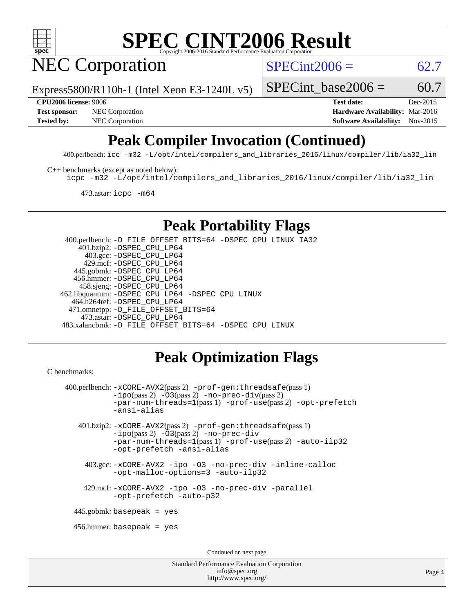

NEC Corporation

 $SPECint2006 = 62.7$  $SPECint2006 = 62.7$ 

Express5800/R110h-1 (Intel Xeon E3-1240L v5)

SPECint base2006 =  $60.7$ 

**[CPU2006 license:](http://www.spec.org/auto/cpu2006/Docs/result-fields.html#CPU2006license)** 9006 **[Test date:](http://www.spec.org/auto/cpu2006/Docs/result-fields.html#Testdate)** Dec-2015 **[Test sponsor:](http://www.spec.org/auto/cpu2006/Docs/result-fields.html#Testsponsor)** NEC Corporation **NEC Corporation [Hardware Availability:](http://www.spec.org/auto/cpu2006/Docs/result-fields.html#HardwareAvailability)** Mar-2016 **[Tested by:](http://www.spec.org/auto/cpu2006/Docs/result-fields.html#Testedby)** NEC Corporation **NEC Corporation [Software Availability:](http://www.spec.org/auto/cpu2006/Docs/result-fields.html#SoftwareAvailability)** Nov-2015

# **[Peak Compiler Invocation \(Continued\)](http://www.spec.org/auto/cpu2006/Docs/result-fields.html#PeakCompilerInvocation)**

400.perlbench: [icc -m32 -L/opt/intel/compilers\\_and\\_libraries\\_2016/linux/compiler/lib/ia32\\_lin](http://www.spec.org/cpu2006/results/res2016q1/cpu2006-20160125-38807.flags.html#user_peakCCLD400_perlbench_intel_icc_e10256ba5924b668798078a321b0cb3f)

[C++ benchmarks \(except as noted below\):](http://www.spec.org/auto/cpu2006/Docs/result-fields.html#CXXbenchmarksexceptasnotedbelow)

[icpc -m32 -L/opt/intel/compilers\\_and\\_libraries\\_2016/linux/compiler/lib/ia32\\_lin](http://www.spec.org/cpu2006/results/res2016q1/cpu2006-20160125-38807.flags.html#user_CXXpeak_intel_icpc_b4f50a394bdb4597aa5879c16bc3f5c5)

473.astar: [icpc -m64](http://www.spec.org/cpu2006/results/res2016q1/cpu2006-20160125-38807.flags.html#user_peakCXXLD473_astar_intel_icpc_64bit_fc66a5337ce925472a5c54ad6a0de310)

### **[Peak Portability Flags](http://www.spec.org/auto/cpu2006/Docs/result-fields.html#PeakPortabilityFlags)**

 400.perlbench: [-D\\_FILE\\_OFFSET\\_BITS=64](http://www.spec.org/cpu2006/results/res2016q1/cpu2006-20160125-38807.flags.html#user_peakPORTABILITY400_perlbench_file_offset_bits_64_438cf9856305ebd76870a2c6dc2689ab) [-DSPEC\\_CPU\\_LINUX\\_IA32](http://www.spec.org/cpu2006/results/res2016q1/cpu2006-20160125-38807.flags.html#b400.perlbench_peakCPORTABILITY_DSPEC_CPU_LINUX_IA32) 401.bzip2: [-DSPEC\\_CPU\\_LP64](http://www.spec.org/cpu2006/results/res2016q1/cpu2006-20160125-38807.flags.html#suite_peakPORTABILITY401_bzip2_DSPEC_CPU_LP64) 403.gcc: [-DSPEC\\_CPU\\_LP64](http://www.spec.org/cpu2006/results/res2016q1/cpu2006-20160125-38807.flags.html#suite_peakPORTABILITY403_gcc_DSPEC_CPU_LP64) 429.mcf: [-DSPEC\\_CPU\\_LP64](http://www.spec.org/cpu2006/results/res2016q1/cpu2006-20160125-38807.flags.html#suite_peakPORTABILITY429_mcf_DSPEC_CPU_LP64) 445.gobmk: [-DSPEC\\_CPU\\_LP64](http://www.spec.org/cpu2006/results/res2016q1/cpu2006-20160125-38807.flags.html#suite_peakPORTABILITY445_gobmk_DSPEC_CPU_LP64) 456.hmmer: [-DSPEC\\_CPU\\_LP64](http://www.spec.org/cpu2006/results/res2016q1/cpu2006-20160125-38807.flags.html#suite_peakPORTABILITY456_hmmer_DSPEC_CPU_LP64) 458.sjeng: [-DSPEC\\_CPU\\_LP64](http://www.spec.org/cpu2006/results/res2016q1/cpu2006-20160125-38807.flags.html#suite_peakPORTABILITY458_sjeng_DSPEC_CPU_LP64) 462.libquantum: [-DSPEC\\_CPU\\_LP64](http://www.spec.org/cpu2006/results/res2016q1/cpu2006-20160125-38807.flags.html#suite_peakPORTABILITY462_libquantum_DSPEC_CPU_LP64) [-DSPEC\\_CPU\\_LINUX](http://www.spec.org/cpu2006/results/res2016q1/cpu2006-20160125-38807.flags.html#b462.libquantum_peakCPORTABILITY_DSPEC_CPU_LINUX) 464.h264ref: [-DSPEC\\_CPU\\_LP64](http://www.spec.org/cpu2006/results/res2016q1/cpu2006-20160125-38807.flags.html#suite_peakPORTABILITY464_h264ref_DSPEC_CPU_LP64) 471.omnetpp: [-D\\_FILE\\_OFFSET\\_BITS=64](http://www.spec.org/cpu2006/results/res2016q1/cpu2006-20160125-38807.flags.html#user_peakPORTABILITY471_omnetpp_file_offset_bits_64_438cf9856305ebd76870a2c6dc2689ab) 473.astar: [-DSPEC\\_CPU\\_LP64](http://www.spec.org/cpu2006/results/res2016q1/cpu2006-20160125-38807.flags.html#suite_peakPORTABILITY473_astar_DSPEC_CPU_LP64) 483.xalancbmk: [-D\\_FILE\\_OFFSET\\_BITS=64](http://www.spec.org/cpu2006/results/res2016q1/cpu2006-20160125-38807.flags.html#user_peakPORTABILITY483_xalancbmk_file_offset_bits_64_438cf9856305ebd76870a2c6dc2689ab) [-DSPEC\\_CPU\\_LINUX](http://www.spec.org/cpu2006/results/res2016q1/cpu2006-20160125-38807.flags.html#b483.xalancbmk_peakCXXPORTABILITY_DSPEC_CPU_LINUX)

## **[Peak Optimization Flags](http://www.spec.org/auto/cpu2006/Docs/result-fields.html#PeakOptimizationFlags)**

```
C benchmarks: 
400.perlbench: -xCORE-AVX2(pass 2) -prof-gen:threadsafe(pass 1)
           -i\text{po}(pass 2) -\overline{0}3(pass 2)-no-prec-div(pass 2)
           -par-num-threads=1(pass 1) -prof-use(pass 2) -opt-prefetch
           -ansi-alias
   401.bzip2: -xCORE-AVX2(pass 2) -prof-gen:threadsafe(pass 1)
            -ipo(pass 2) -O3(pass 2) -no-prec-div
            -par-num-threads=1(pass 1) -prof-use(pass 2) -auto-ilp32
            -opt-prefetch -ansi-alias
     403.gcc: -xCORE-AVX2 -ipo -O3 -no-prec-div -inline-calloc
            -opt-malloc-options=3 -auto-ilp32
     429.mcf: -xCORE-AVX2 -ipo -O3 -no-prec-div -parallel
           -opt-prefetch -auto-p32
  445.gobmk: basepeak = yes
  456.hmmer: basepeak = yes
                                   Continued on next page
```